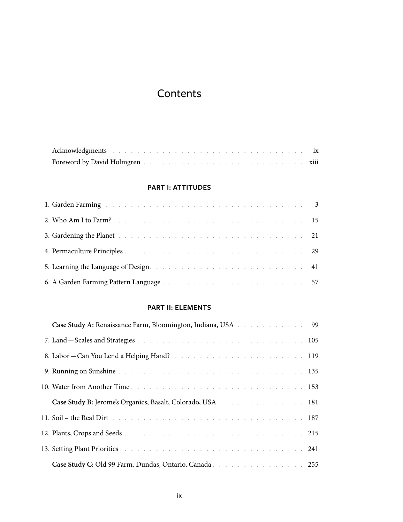# Contents

#### **PART I: ATTITUDES**

## **Part II: Elements**

| Case Study A: Renaissance Farm, Bloomington, Indiana, USA 99                                                   |  |
|----------------------------------------------------------------------------------------------------------------|--|
|                                                                                                                |  |
|                                                                                                                |  |
|                                                                                                                |  |
|                                                                                                                |  |
| Case Study B: Jerome's Organics, Basalt, Colorado, USA 181                                                     |  |
|                                                                                                                |  |
|                                                                                                                |  |
| 13. Setting Plant Priorities and a subsequently and a subsequently and a subsequently setting Plant Priorities |  |
|                                                                                                                |  |